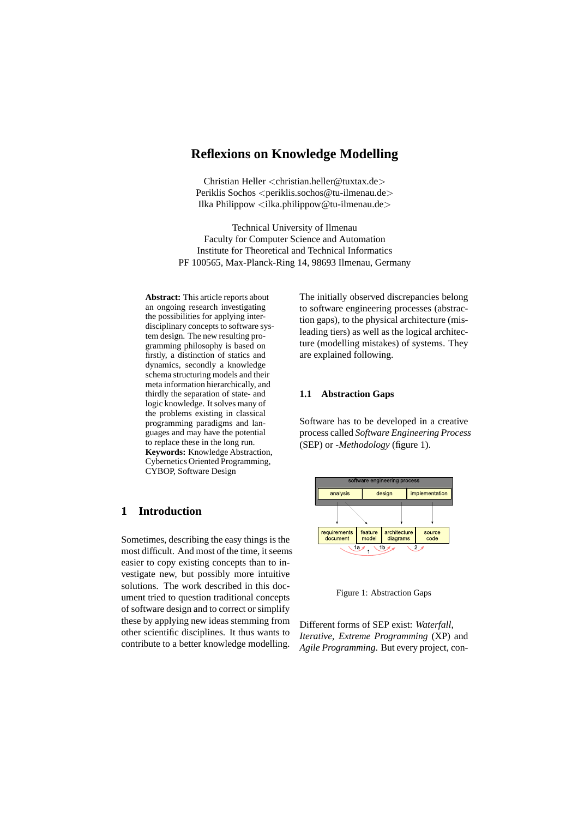# **Reflexions on Knowledge Modelling**

Christian Heller <christian.heller@tuxtax.de> Periklis Sochos <periklis.sochos@tu-ilmenau.de> Ilka Philippow <ilka.philippow@tu-ilmenau.de>

Technical University of Ilmenau Faculty for Computer Science and Automation Institute for Theoretical and Technical Informatics PF 100565, Max-Planck-Ring 14, 98693 Ilmenau, Germany

**Abstract:** This article reports about an ongoing research investigating the possibilities for applying interdisciplinary concepts to software system design. The new resulting programming philosophy is based on firstly, a distinction of statics and dynamics, secondly a knowledge schema structuring models and their meta information hierarchically, and thirdly the separation of state- and logic knowledge. It solves many of the problems existing in classical programming paradigms and languages and may have the potential to replace these in the long run. **Keywords:** Knowledge Abstraction, Cybernetics Oriented Programming, CYBOP, Software Design

# **1 Introduction**

Sometimes, describing the easy things is the most difficult. And most of the time, it seems easier to copy existing concepts than to investigate new, but possibly more intuitive solutions. The work described in this document tried to question traditional concepts of software design and to correct or simplify these by applying new ideas stemming from other scientific disciplines. It thus wants to contribute to a better knowledge modelling.

The initially observed discrepancies belong to software engineering processes (abstraction gaps), to the physical architecture (misleading tiers) as well as the logical architecture (modelling mistakes) of systems. They are explained following.

### **1.1 Abstraction Gaps**

Software has to be developed in a creative process called *Software Engineering Process* (SEP) or *-Methodology* (figure 1).



Figure 1: Abstraction Gaps

Different forms of SEP exist: *Waterfall*, *Iterative*, *Extreme Programming* (XP) and *Agile Programming*. But every project, con-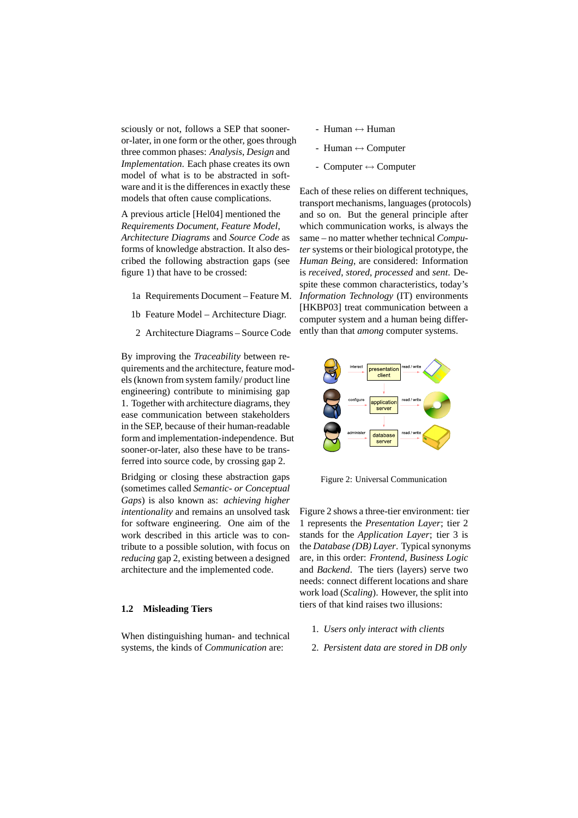sciously or not, follows a SEP that sooneror-later, in one form or the other, goes through three common phases: *Analysis*, *Design* and *Implementation*. Each phase creates its own model of what is to be abstracted in software and it is the differences in exactly these models that often cause complications.

A previous article [Hel04] mentioned the *Requirements Document*, *Feature Model*, *Architecture Diagrams* and *Source Code* as forms of knowledge abstraction. It also described the following abstraction gaps (see figure 1) that have to be crossed:

- 1a Requirements Document Feature M.
- 1b Feature Model Architecture Diagr.
- 2 Architecture Diagrams Source Code

By improving the *Traceability* between requirements and the architecture, feature models (known from system family/ product line engineering) contribute to minimising gap 1. Together with architecture diagrams, they ease communication between stakeholders in the SEP, because of their human-readable form and implementation-independence. But sooner-or-later, also these have to be transferred into source code, by crossing gap 2.

Bridging or closing these abstraction gaps (sometimes called *Semantic- or Conceptual Gaps*) is also known as: *achieving higher intentionality* and remains an unsolved task for software engineering. One aim of the work described in this article was to contribute to a possible solution, with focus on *reducing* gap 2, existing between a designed architecture and the implemented code.

### **1.2 Misleading Tiers**

When distinguishing human- and technical systems, the kinds of *Communication* are:

- $-$  Human  $\leftrightarrow$  Human
- Human  $\leftrightarrow$  Computer
- $\text{-}$  Computer  $\leftrightarrow$  Computer

Each of these relies on different techniques, transport mechanisms, languages (protocols) and so on. But the general principle after which communication works, is always the same – no matter whether technical *Computer* systems or their biological prototype, the *Human Being*, are considered: Information is *received*, *stored*, *processed* and *sent*. Despite these common characteristics, today's *Information Technology* (IT) environments [HKBP03] treat communication between a computer system and a human being differently than that *among* computer systems.



Figure 2: Universal Communication

Figure 2 shows a three-tier environment: tier 1 represents the *Presentation Layer*; tier 2 stands for the *Application Layer*; tier 3 is the *Database (DB) Layer*. Typical synonyms are, in this order: *Frontend*, *Business Logic* and *Backend*. The tiers (layers) serve two needs: connect different locations and share work load (*Scaling*). However, the split into tiers of that kind raises two illusions:

- 1. *Users only interact with clients*
- 2. *Persistent data are stored in DB only*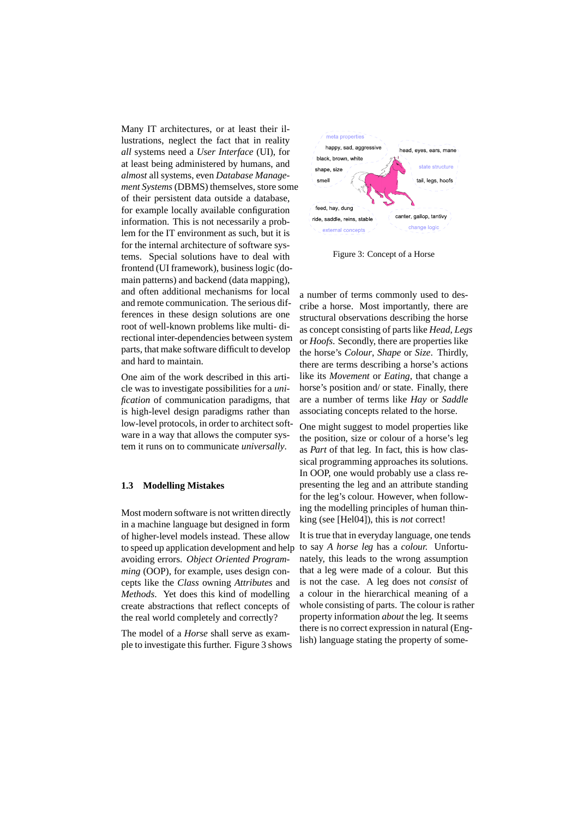Many IT architectures, or at least their illustrations, neglect the fact that in reality *all* systems need a *User Interface* (UI), for at least being administered by humans, and *almost* all systems, even *Database Management Systems*(DBMS) themselves, store some of their persistent data outside a database, for example locally available configuration information. This is not necessarily a problem for the IT environment as such, but it is for the internal architecture of software systems. Special solutions have to deal with frontend (UI framework), business logic (domain patterns) and backend (data mapping), and often additional mechanisms for local and remote communication. The serious differences in these design solutions are one root of well-known problems like multi- directional inter-dependencies between system parts, that make software difficult to develop and hard to maintain.

One aim of the work described in this article was to investigate possibilities for a *unification* of communication paradigms, that is high-level design paradigms rather than low-level protocols, in order to architect software in a way that allows the computer system it runs on to communicate *universally*.

#### **1.3 Modelling Mistakes**

Most modern software is not written directly in a machine language but designed in form of higher-level models instead. These allow to speed up application development and help avoiding errors. *Object Oriented Programming* (OOP), for example, uses design concepts like the *Class* owning *Attributes* and *Methods*. Yet does this kind of modelling create abstractions that reflect concepts of the real world completely and correctly?

The model of a *Horse* shall serve as example to investigate this further. Figure 3 shows



Figure 3: Concept of a Horse

a number of terms commonly used to describe a horse. Most importantly, there are structural observations describing the horse as concept consisting of parts like *Head*, *Legs* or *Hoofs*. Secondly, there are properties like the horse's *Colour*, *Shape* or *Size*. Thirdly, there are terms describing a horse's actions like its *Movement* or *Eating*, that change a horse's position and/ or state. Finally, there are a number of terms like *Hay* or *Saddle* associating concepts related to the horse.

One might suggest to model properties like the position, size or colour of a horse's leg as *Part* of that leg. In fact, this is how classical programming approaches its solutions. In OOP, one would probably use a class representing the leg and an attribute standing for the leg's colour. However, when following the modelling principles of human thinking (see [Hel04]), this is *not* correct!

It is true that in everyday language, one tends to say *A horse leg* has a *colour.* Unfortunately, this leads to the wrong assumption that a leg were made of a colour. But this is not the case. A leg does not *consist* of a colour in the hierarchical meaning of a whole consisting of parts. The colour is rather property information *about* the leg. It seems there is no correct expression in natural (English) language stating the property of some-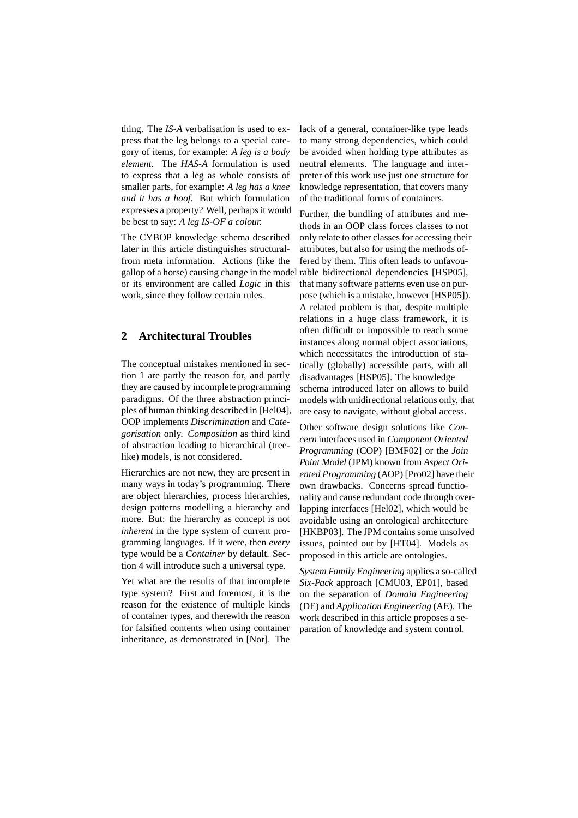thing. The *IS-A* verbalisation is used to express that the leg belongs to a special category of items, for example: *A leg is a body element.* The *HAS-A* formulation is used to express that a leg as whole consists of smaller parts, for example: *A leg has a knee and it has a hoof.* But which formulation expresses a property? Well, perhaps it would be best to say: *A leg IS-OF a colour.*

The CYBOP knowledge schema described later in this article distinguishes structuralfrom meta information. Actions (like the gallop of a horse) causing change in the model or its environment are called *Logic* in this work, since they follow certain rules.

# **2 Architectural Troubles**

The conceptual mistakes mentioned in section 1 are partly the reason for, and partly they are caused by incomplete programming paradigms. Of the three abstraction principles of human thinking described in [Hel04], OOP implements *Discrimination* and *Categorisation* only. *Composition* as third kind of abstraction leading to hierarchical (treelike) models, is not considered.

Hierarchies are not new, they are present in many ways in today's programming. There are object hierarchies, process hierarchies, design patterns modelling a hierarchy and more. But: the hierarchy as concept is not *inherent* in the type system of current programming languages. If it were, then *every* type would be a *Container* by default. Section 4 will introduce such a universal type.

Yet what are the results of that incomplete type system? First and foremost, it is the reason for the existence of multiple kinds of container types, and therewith the reason for falsified contents when using container inheritance, as demonstrated in [Nor]. The

lack of a general, container-like type leads to many strong dependencies, which could be avoided when holding type attributes as neutral elements. The language and interpreter of this work use just one structure for knowledge representation, that covers many of the traditional forms of containers.

Further, the bundling of attributes and methods in an OOP class forces classes to not only relate to other classes for accessing their attributes, but also for using the methods offered by them. This often leads to unfavourable bidirectional dependencies [HSP05], that many software patterns even use on purpose (which is a mistake, however [HSP05]). A related problem is that, despite multiple relations in a huge class framework, it is often difficult or impossible to reach some instances along normal object associations, which necessitates the introduction of statically (globally) accessible parts, with all disadvantages [HSP05]. The knowledge schema introduced later on allows to build models with unidirectional relations only, that are easy to navigate, without global access.

Other software design solutions like *Concern* interfaces used in *Component Oriented Programming* (COP) [BMF02] or the *Join Point Model* (JPM) known from *Aspect Oriented Programming* (AOP) [Pro02] have their own drawbacks. Concerns spread functionality and cause redundant code through overlapping interfaces [Hel02], which would be avoidable using an ontological architecture [HKBP03]. The JPM contains some unsolved issues, pointed out by [HT04]. Models as proposed in this article are ontologies.

*System Family Engineering* applies a so-called *Six-Pack* approach [CMU03, EP01], based on the separation of *Domain Engineering* (DE) and *Application Engineering* (AE). The work described in this article proposes a separation of knowledge and system control.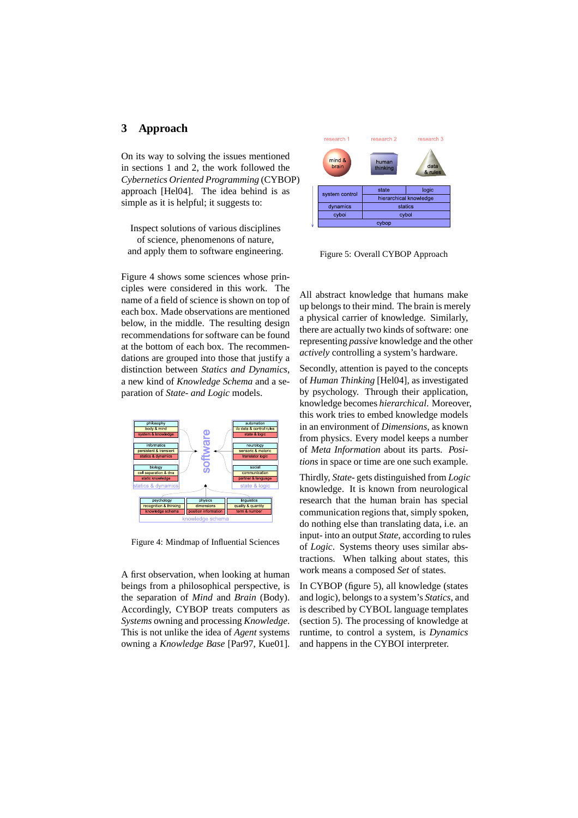# **3 Approach**

On its way to solving the issues mentioned in sections 1 and 2, the work followed the *Cybernetics Oriented Programming* (CYBOP) approach [Hel04]. The idea behind is as simple as it is helpful; it suggests to:

Inspect solutions of various disciplines of science, phenomenons of nature, and apply them to software engineering.

Figure 4 shows some sciences whose principles were considered in this work. The name of a field of science is shown on top of each box. Made observations are mentioned below, in the middle. The resulting design recommendations for software can be found at the bottom of each box. The recommendations are grouped into those that justify a distinction between *Statics and Dynamics*, a new kind of *Knowledge Schema* and a separation of *State- and Logic* models.



Figure 4: Mindmap of Influential Sciences

A first observation, when looking at human beings from a philosophical perspective, is the separation of *Mind* and *Brain* (Body). Accordingly, CYBOP treats computers as *Systems* owning and processing *Knowledge*. This is not unlike the idea of *Agent* systems owning a *Knowledge Base* [Par97, Kue01].



Figure 5: Overall CYBOP Approach

All abstract knowledge that humans make up belongs to their mind. The brain is merely a physical carrier of knowledge. Similarly, there are actually two kinds of software: one representing *passive* knowledge and the other *actively* controlling a system's hardware.

Secondly, attention is payed to the concepts of *Human Thinking* [Hel04], as investigated by psychology. Through their application, knowledge becomes *hierarchical*. Moreover, this work tries to embed knowledge models in an environment of *Dimensions*, as known from physics. Every model keeps a number of *Meta Information* about its parts. *Positions* in space or time are one such example.

Thirdly, *State-* gets distinguished from *Logic* knowledge. It is known from neurological research that the human brain has special communication regions that, simply spoken, do nothing else than translating data, i.e. an input- into an output *State*, according to rules of *Logic*. Systems theory uses similar abstractions. When talking about states, this work means a composed *Set* of states.

In CYBOP (figure 5), all knowledge (states and logic), belongs to a system's *Statics*, and is described by CYBOL language templates (section 5). The processing of knowledge at runtime, to control a system, is *Dynamics* and happens in the CYBOI interpreter.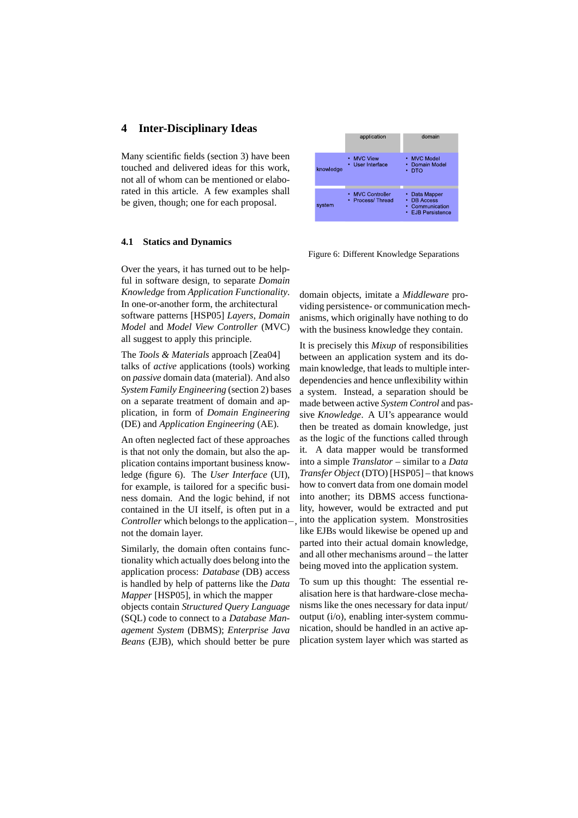## **4 Inter-Disciplinary Ideas**

Many scientific fields (section 3) have been touched and delivered ideas for this work, not all of whom can be mentioned or elaborated in this article. A few examples shall be given, though; one for each proposal.

#### **4.1 Statics and Dynamics**

Over the years, it has turned out to be helpful in software design, to separate *Domain Knowledge* from *Application Functionality*. In one-or-another form, the architectural software patterns [HSP05] *Layers*, *Domain Model* and *Model View Controller* (MVC) all suggest to apply this principle.

The *Tools & Materials* approach [Zea04] talks of *active* applications (tools) working on *passive* domain data (material). And also *System Family Engineering* (section 2) bases on a separate treatment of domain and application, in form of *Domain Engineering* (DE) and *Application Engineering* (AE).

An often neglected fact of these approaches is that not only the domain, but also the application contains important business knowledge (figure 6). The *User Interface* (UI), for example, is tailored for a specific business domain. And the logic behind, if not contained in the UI itself, is often put in a *Controller* which belongs to the application−, not the domain layer.

Similarly, the domain often contains functionality which actually does belong into the application process: *Database* (DB) access is handled by help of patterns like the *Data Mapper* [HSP05], in which the mapper objects contain *Structured Query Language*

(SQL) code to connect to a *Database Management System* (DBMS); *Enterprise Java Beans* (EJB), which should better be pure



Figure 6: Different Knowledge Separations

domain objects, imitate a *Middleware* providing persistence- or communication mechanisms, which originally have nothing to do with the business knowledge they contain.

It is precisely this *Mixup* of responsibilities between an application system and its domain knowledge, that leads to multiple interdependencies and hence unflexibility within a system. Instead, a separation should be made between active *System Control* and passive *Knowledge*. A UI's appearance would then be treated as domain knowledge, just as the logic of the functions called through it. A data mapper would be transformed into a simple *Translator* – similar to a *Data Transfer Object* (DTO) [HSP05] – that knows how to convert data from one domain model into another; its DBMS access functionality, however, would be extracted and put into the application system. Monstrosities like EJBs would likewise be opened up and parted into their actual domain knowledge, and all other mechanisms around – the latter being moved into the application system.

To sum up this thought: The essential realisation here is that hardware-close mechanisms like the ones necessary for data input/ output (i/o), enabling inter-system communication, should be handled in an active application system layer which was started as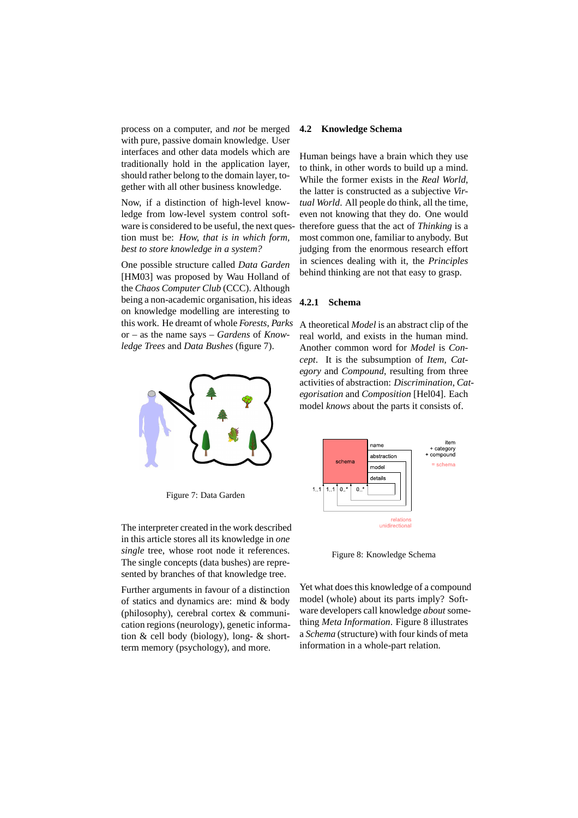process on a computer, and *not* be merged with pure, passive domain knowledge. User interfaces and other data models which are traditionally hold in the application layer, should rather belong to the domain layer, together with all other business knowledge.

Now, if a distinction of high-level knowledge from low-level system control software is considered to be useful, the next question must be: *How, that is in which form, best to store knowledge in a system?*

One possible structure called *Data Garden* [HM03] was proposed by Wau Holland of the *Chaos Computer Club* (CCC). Although being a non-academic organisation, his ideas on knowledge modelling are interesting to this work. He dreamt of whole *Forests*, *Parks* or – as the name says – *Gardens* of *Knowledge Trees* and *Data Bushes* (figure 7).



Figure 7: Data Garden

The interpreter created in the work described in this article stores all its knowledge in *one single* tree, whose root node it references. The single concepts (data bushes) are represented by branches of that knowledge tree.

Further arguments in favour of a distinction of statics and dynamics are: mind & body (philosophy), cerebral cortex & communication regions (neurology), genetic information & cell body (biology), long- & shortterm memory (psychology), and more.

### **4.2 Knowledge Schema**

Human beings have a brain which they use to think, in other words to build up a mind. While the former exists in the *Real World*, the latter is constructed as a subjective *Virtual World*. All people do think, all the time, even not knowing that they do. One would therefore guess that the act of *Thinking* is a most common one, familiar to anybody. But judging from the enormous research effort in sciences dealing with it, the *Principles* behind thinking are not that easy to grasp.

## **4.2.1 Schema**

A theoretical *Model* is an abstract clip of the real world, and exists in the human mind. Another common word for *Model* is *Concept*. It is the subsumption of *Item*, *Category* and *Compound*, resulting from three activities of abstraction: *Discrimination*, *Categorisation* and *Composition* [Hel04]. Each model *knows* about the parts it consists of.



Figure 8: Knowledge Schema

Yet what does this knowledge of a compound model (whole) about its parts imply? Software developers call knowledge *about* something *Meta Information*. Figure 8 illustrates a *Schema* (structure) with four kinds of meta information in a whole-part relation.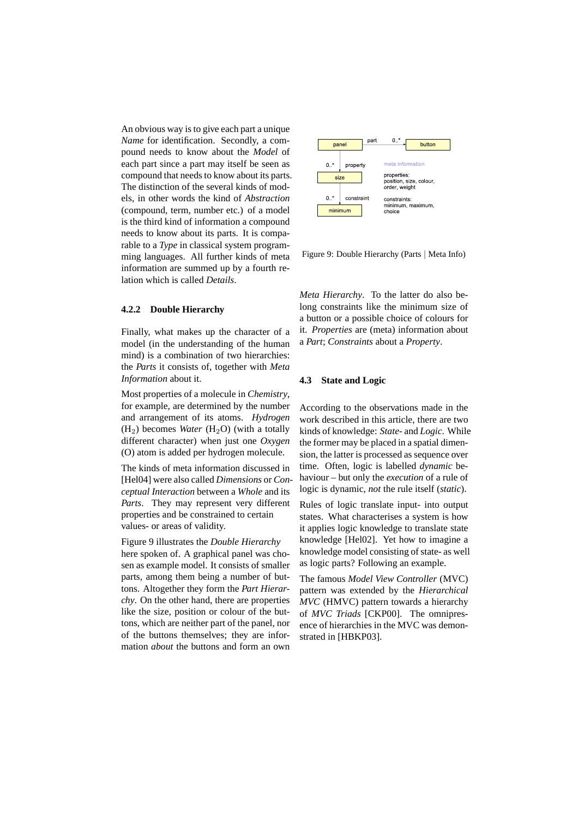An obvious way is to give each part a unique *Name* for identification. Secondly, a compound needs to know about the *Model* of each part since a part may itself be seen as compound that needs to know about its parts. The distinction of the several kinds of models, in other words the kind of *Abstraction* (compound, term, number etc.) of a model is the third kind of information a compound needs to know about its parts. It is comparable to a *Type* in classical system programming languages. All further kinds of meta information are summed up by a fourth relation which is called *Details*.

## **4.2.2 Double Hierarchy**

Finally, what makes up the character of a model (in the understanding of the human mind) is a combination of two hierarchies: the *Parts* it consists of, together with *Meta Information* about it.

Most properties of a molecule in *Chemistry*, for example, are determined by the number and arrangement of its atoms. *Hydrogen*  $(H<sub>2</sub>)$  becomes *Water*  $(H<sub>2</sub>O)$  (with a totally different character) when just one *Oxygen* (O) atom is added per hydrogen molecule.

The kinds of meta information discussed in [Hel04] were also called *Dimensions* or *Conceptual Interaction* between a *Whole* and its *Parts*. They may represent very different properties and be constrained to certain values- or areas of validity.

Figure 9 illustrates the *Double Hierarchy* here spoken of. A graphical panel was chosen as example model. It consists of smaller parts, among them being a number of buttons. Altogether they form the *Part Hierarchy*. On the other hand, there are properties like the size, position or colour of the buttons, which are neither part of the panel, nor of the buttons themselves; they are information *about* the buttons and form an own



Figure 9: Double Hierarchy (Parts | Meta Info)

*Meta Hierarchy*. To the latter do also belong constraints like the minimum size of a button or a possible choice of colours for it. *Properties* are (meta) information about a *Part*; *Constraints* about a *Property*.

#### **4.3 State and Logic**

According to the observations made in the work described in this article, there are two kinds of knowledge: *State-* and *Logic*. While the former may be placed in a spatial dimension, the latter is processed as sequence over time. Often, logic is labelled *dynamic* behaviour – but only the *execution* of a rule of logic is dynamic, *not* the rule itself (*static*).

Rules of logic translate input- into output states. What characterises a system is how it applies logic knowledge to translate state knowledge [Hel02]. Yet how to imagine a knowledge model consisting of state- as well as logic parts? Following an example.

The famous *Model View Controller* (MVC) pattern was extended by the *Hierarchical MVC* (HMVC) pattern towards a hierarchy of *MVC Triads* [CKP00]. The omnipresence of hierarchies in the MVC was demonstrated in [HBKP03].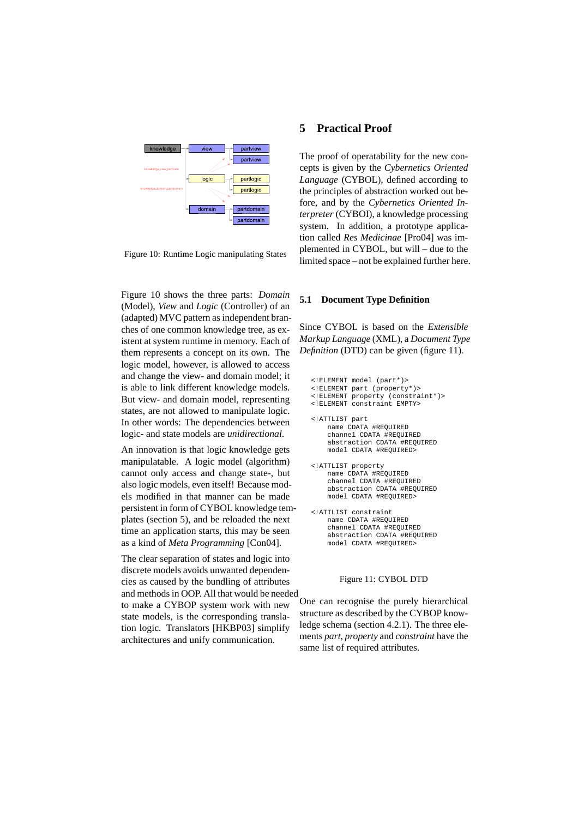

Figure 10: Runtime Logic manipulating States

Figure 10 shows the three parts: *Domain* (Model), *View* and *Logic* (Controller) of an (adapted) MVC pattern as independent branches of one common knowledge tree, as existent at system runtime in memory. Each of them represents a concept on its own. The logic model, however, is allowed to access and change the view- and domain model; it is able to link different knowledge models. But view- and domain model, representing states, are not allowed to manipulate logic. In other words: The dependencies between logic- and state models are *unidirectional*.

An innovation is that logic knowledge gets manipulatable. A logic model (algorithm) cannot only access and change state-, but also logic models, even itself! Because models modified in that manner can be made persistent in form of CYBOL knowledge templates (section 5), and be reloaded the next time an application starts, this may be seen as a kind of *Meta Programming* [Con04].

The clear separation of states and logic into discrete models avoids unwanted dependencies as caused by the bundling of attributes and methods in OOP. All that would be needed to make a CYBOP system work with new state models, is the corresponding translation logic. Translators [HKBP03] simplify architectures and unify communication.

### **5 Practical Proof**

The proof of operatability for the new concepts is given by the *Cybernetics Oriented Language* (CYBOL), defined according to the principles of abstraction worked out before, and by the *Cybernetics Oriented Interpreter* (CYBOI), a knowledge processing system. In addition, a prototype application called *Res Medicinae* [Pro04] was implemented in CYBOL, but will – due to the limited space – not be explained further here.

#### **5.1 Document Type Definition**

Since CYBOL is based on the *Extensible Markup Language* (XML), a *Document Type Definition* (DTD) can be given (figure 11).

<!ELEMENT model (part\*)> <!ELEMENT part (property\*)> <!ELEMENT property (constraint\*)> <!ELEMENT constraint EMPTY> <!ATTLIST part name CDATA #REQUIRED channel CDATA #REQUIRED abstraction CDATA #REQUIRED model CDATA #REQUIRED> <!ATTLIST property name CDATA #REQUIRED channel CDATA #REQUIRED abstraction CDATA #REQUIRED model CDATA #REQUIRED> <!ATTLIST constraint name CDATA #REQUIRED channel CDATA #REQUIRED abstraction CDATA #REQUIRED model CDATA #REQUIRED>

## Figure 11: CYBOL DTD

One can recognise the purely hierarchical structure as described by the CYBOP knowledge schema (section 4.2.1). The three elements *part*, *property* and *constraint* have the same list of required attributes.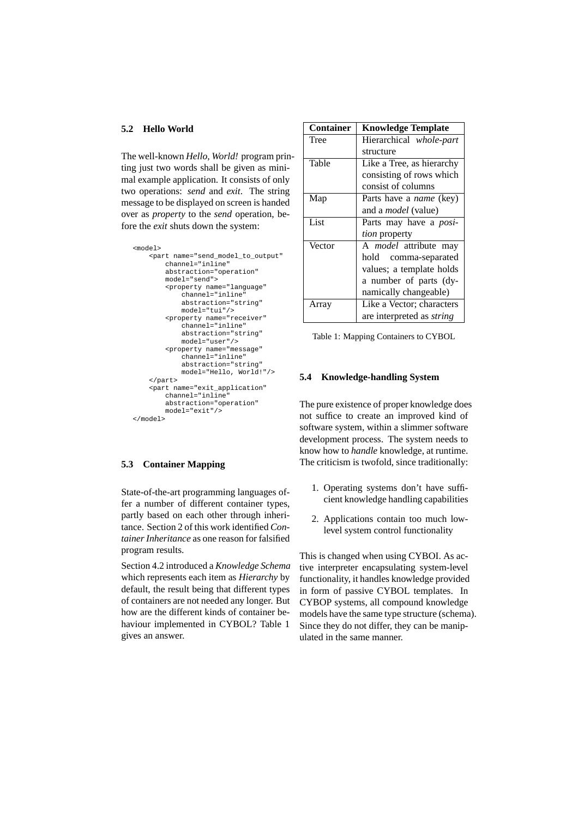#### **5.2 Hello World**

The well-known *Hello, World!* program printing just two words shall be given as minimal example application. It consists of only two operations: *send* and *exit*. The string message to be displayed on screen is handed over as *property* to the *send* operation, before the *exit* shuts down the system:

```
<model>
    <part name="send_model_to_output"
        channel="inline"
        abstraction="operation"
        model="send">
        <property name="language"
            channel="inline"
            abstraction="string"
            model="tui"/>
        <property name="receiver"
            channel="inline"
            abstraction="string"
            model="user"/>
        <property name="message"
            channel="inline"
            abstraction="string"
            model="Hello, World!"/>
    </part>
    <part name="exit_application"
        channel="inline"abstraction="operation"
        model="exit"/>
</model>
```
# **5.3 Container Mapping**

State-of-the-art programming languages offer a number of different container types, partly based on each other through inheritance. Section 2 of this work identified *Container Inheritance* as one reason for falsified program results.

Section 4.2 introduced a *Knowledge Schema* which represents each item as *Hierarchy* by default, the result being that different types of containers are not needed any longer. But how are the different kinds of container behaviour implemented in CYBOL? Table 1 gives an answer.

| <b>Container</b> | <b>Knowledge Template</b>        |
|------------------|----------------------------------|
| Tree             | Hierarchical whole-part          |
|                  | structure                        |
| Table            | Like a Tree, as hierarchy        |
|                  | consisting of rows which         |
|                  | consist of columns               |
| Map              | Parts have a <i>name</i> (key)   |
|                  | and a <i>model</i> (value)       |
| List             | Parts may have a <i>posi-</i>    |
|                  | tion property                    |
| Vector           | A <i>model</i> attribute may     |
|                  | hold<br>comma-separated          |
|                  | values; a template holds         |
|                  | a number of parts (dy-           |
|                  | namically changeable)            |
| Array            | Like a Vector; characters        |
|                  | are interpreted as <i>string</i> |

Table 1: Mapping Containers to CYBOL

### **5.4 Knowledge-handling System**

The pure existence of proper knowledge does not suffice to create an improved kind of software system, within a slimmer software development process. The system needs to know how to *handle* knowledge, at runtime. The criticism is twofold, since traditionally:

- 1. Operating systems don't have sufficient knowledge handling capabilities
- 2. Applications contain too much lowlevel system control functionality

This is changed when using CYBOI. As active interpreter encapsulating system-level functionality, it handles knowledge provided in form of passive CYBOL templates. In CYBOP systems, all compound knowledge models have the same type structure (schema). Since they do not differ, they can be manipulated in the same manner.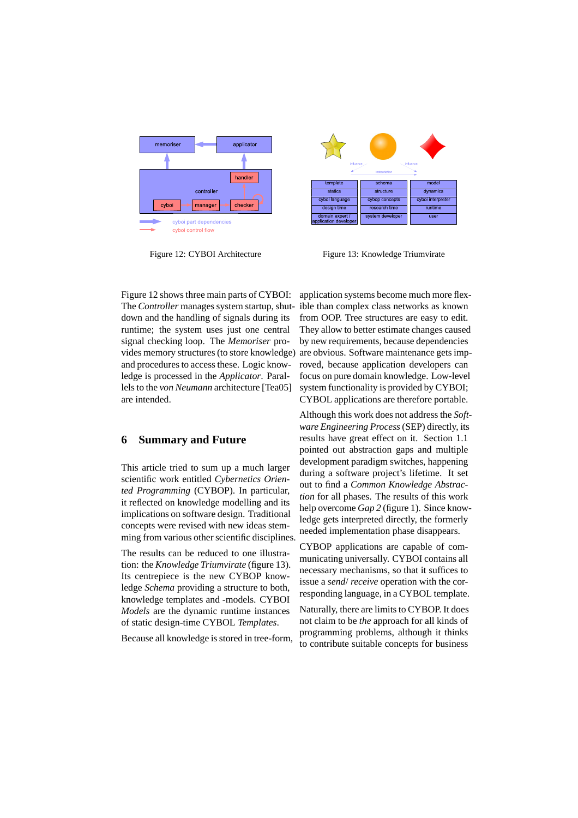

Figure 12: CYBOI Architecture



Figure 13: Knowledge Triumvirate

Figure 12 shows three main parts of CYBOI: The *Controller* manages system startup, shutdown and the handling of signals during its runtime; the system uses just one central signal checking loop. The *Memoriser* provides memory structures (to store knowledge) and procedures to access these. Logic knowledge is processed in the *Applicator*. Parallels to the *von Neumann* architecture [Tea05] are intended.

# **6 Summary and Future**

This article tried to sum up a much larger scientific work entitled *Cybernetics Oriented Programming* (CYBOP). In particular, it reflected on knowledge modelling and its implications on software design. Traditional concepts were revised with new ideas stemming from various other scientific disciplines.

The results can be reduced to one illustration: the *Knowledge Triumvirate* (figure 13). Its centrepiece is the new CYBOP knowledge *Schema* providing a structure to both, knowledge templates and -models. CYBOI *Models* are the dynamic runtime instances of static design-time CYBOL *Templates*.

Because all knowledge is stored in tree-form,

application systems become much more flexible than complex class networks as known from OOP. Tree structures are easy to edit. They allow to better estimate changes caused by new requirements, because dependencies are obvious. Software maintenance gets improved, because application developers can focus on pure domain knowledge. Low-level system functionality is provided by CYBOI; CYBOL applications are therefore portable.

Although this work does not address the *Software Engineering Process*(SEP) directly, its results have great effect on it. Section 1.1 pointed out abstraction gaps and multiple development paradigm switches, happening during a software project's lifetime. It set out to find a *Common Knowledge Abstraction* for all phases. The results of this work help overcome *Gap 2* (figure 1). Since knowledge gets interpreted directly, the formerly needed implementation phase disappears.

CYBOP applications are capable of communicating universally. CYBOI contains all necessary mechanisms, so that it suffices to issue a *send*/ *receive* operation with the corresponding language, in a CYBOL template.

Naturally, there are limits to CYBOP. It does not claim to be *the* approach for all kinds of programming problems, although it thinks to contribute suitable concepts for business